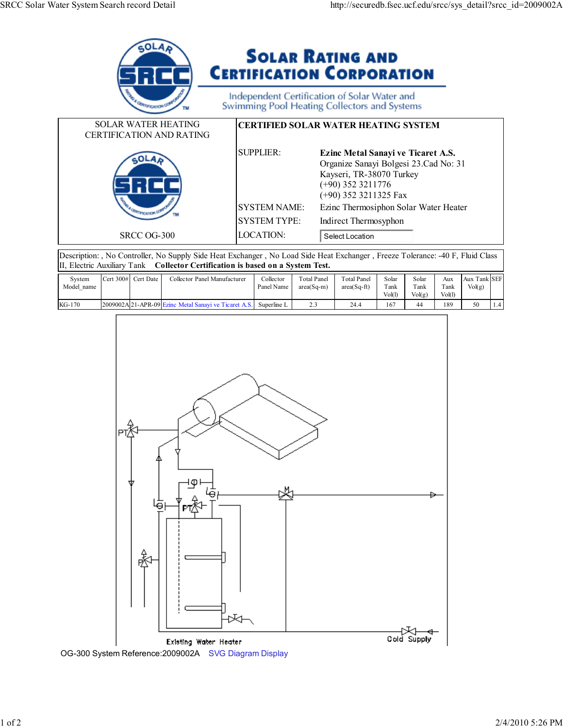

Description: , No Controller, No Supply Side Heat Exchanger , No Load Side Heat Exchanger , Freeze Tolerance: -40 F, Fluid Class II, Electric Auxiliary Tank **Collector Certification is based on a System Test.**

| System<br>Model<br>name | 300#<br>Cert. | * Date<br>Cert. | Collector Panel Manufacturer                         | Collector<br>Panel Name | <b>Total Panel</b><br>$area(Sa-m)$ | <b>Total Panel</b><br>$area(Sq-ft)$ | Solar<br>Tank | Solar<br>Tank | Aux<br>$\tau$ ank | Tank SEF<br>Aux<br>Vol(g) |  |
|-------------------------|---------------|-----------------|------------------------------------------------------|-------------------------|------------------------------------|-------------------------------------|---------------|---------------|-------------------|---------------------------|--|
|                         |               |                 |                                                      |                         |                                    |                                     | Vol(I)        | Vol(g)        | Vol(1)            |                           |  |
| $KG-170$                |               |                 | 2009002A 21-APR-09 Ezinc Metal Sanavi ve Ticaret A.S | Superline L             | ن . ت                              | 24.4                                | 167           | 44            | 189               | 50                        |  |